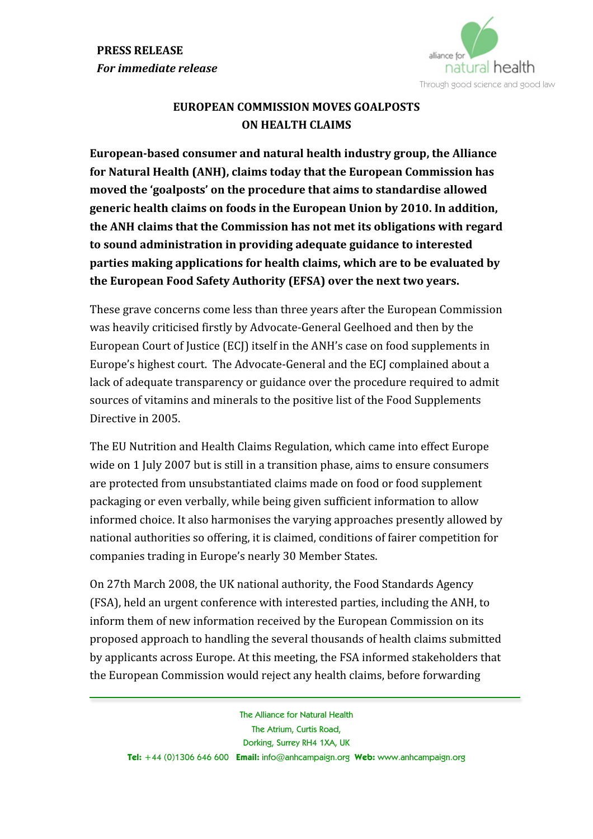

## **EUROPEAN
COMMISSION
MOVES
GOALPOSTS ON
HEALTH
CLAIMS**

European-based consumer and natural health industry group, the Alliance **for
Natural
Health
(ANH),
claims
today
that
the
European
Commission
has moved
the
'goalposts'
on
the
procedure
that
aims
to
standardise
allowed generic
health
claims
on
foods
in
the
European
Union
by
2010.
In
addition, the
ANH
claims
that
the
Commission
has
not
met
its
obligations
with
regard to
sound
administration
in
providing
adequate
guidance
to
interested parties
making
applications
for
health
claims,
which
are
to
be
evaluated
by the
European
Food
Safety
Authority
(EFSA)
over
the
next
two
years.**

These
grave
concerns
come
less
than
three
years
after
the
European
Commission was heavily criticised firstly by Advocate-General Geelhoed and then by the European Court of Justice (ECJ) itself in the ANH's case on food supplements in Europe's
highest
court.

The
Advocate‐General
and
the
ECJ
complained
about
a lack of adequate transparency or guidance over the procedure required to admit sources
of
vitamins
and
minerals
to
the
positive
list
of
the
Food
Supplements Directive
in
2005.

The
EU
Nutrition
and
Health
Claims
Regulation,
which
came
into
effect
Europe wide on 1 July 2007 but is still in a transition phase, aims to ensure consumers are
protected
from
unsubstantiated
claims
made
on
food
or
food
supplement packaging
or
even
verbally,
while
being
given
sufficient
information
to
allow informed
choice.
It
also
harmonises
the
varying
approaches
presently
allowed
by national
authorities
so
offering,
it
is
claimed,
conditions
of
fairer
competition
for companies
trading
in
Europe's
nearly
30
Member
States.

On
27th
March
2008,
the
UK
national
authority,
the
Food
Standards
Agency (FSA),
held
an
urgent
conference
with
interested
parties,
including
the
ANH,
to inform them of new information received by the European Commission on its proposed
approach
to
handling
the
several
thousands
of
health
claims
submitted by
applicants
across
Europe.
At
this
meeting,
the
FSA
informed
stakeholders
that the
European
Commission
would
reject
any
health
claims,
before
forwarding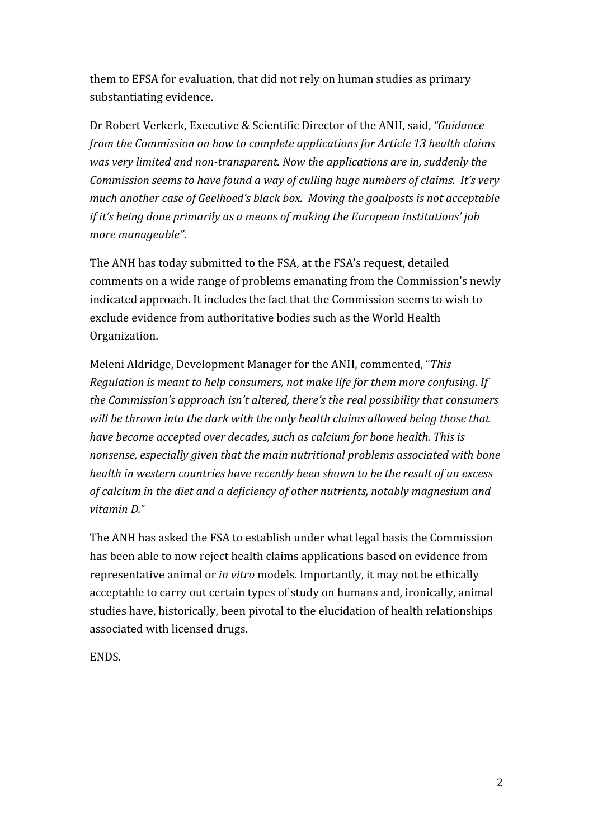them
to
EFSA
for
evaluation,
that
did
not
rely
on
human
studies
as
primary substantiating
evidence.

Dr
Robert
Verkerk,
Executive
&
Scientific
Director
of
the
ANH,
said, *"Guidance*  from the Commission on how to complete applications for Article 13 health claims was very limited and non-transparent. Now the applications are in, suddenly the *Commission
seems
to
have
found
a
way
of
culling
huge
numbers
of
claims.

It's
very*  much another case of Geelhoed's black box. Moving the goalposts is not acceptable if it's being done primarily as a means of making the European institutions' job *more
manageable"*.

The
ANH
has
today
submitted
to
the
FSA,
at
the
FSA's
request,
detailed comments
on
a
wide
range
of
problems
emanating
from
the
Commission's
newly indicated
approach.
It
includes
the
fact
that
the
Commission
seems
to
wish
to exclude
evidence
from
authoritative
bodies
such
as
the
World
Health Organization.

Meleni
Aldridge,
Development
Manager
for
the
ANH,
commented,
"*This Regulation
is
meant
to
help
consumers,
not
make
life
for
them
more
confusing.
If the
Commission's
approach
isn't
altered,
there's
the
real
possibility
that
consumers*  will be thrown into the dark with the only health claims allowed being those that *have
become
accepted
over
decades,
such
as
calcium
for
bone
health.
This
is nonsense,
especially
given
that
the
main
nutritional
problems
associated
with
bone health
in
western
countries
have
recently
been
shown
to
be
the
result
of
an
excess*  of calcium in the diet and a deficiency of other nutrients, notably magnesium and *vitamin
D.*"

The
ANH
has
asked
the
FSA
to
establish
under
what
legal
basis
the
Commission has
been
able
to
now
reject
health
claims
applications
based
on
evidence
from representative
animal
or *in
vitro*models.
Importantly,
it
may
not
be
ethically acceptable
to
carry
out
certain
types
of
study
on
humans
and,
ironically,
animal studies have, historically, been pivotal to the elucidation of health relationships associated
with
licensed
drugs.

ENDS.